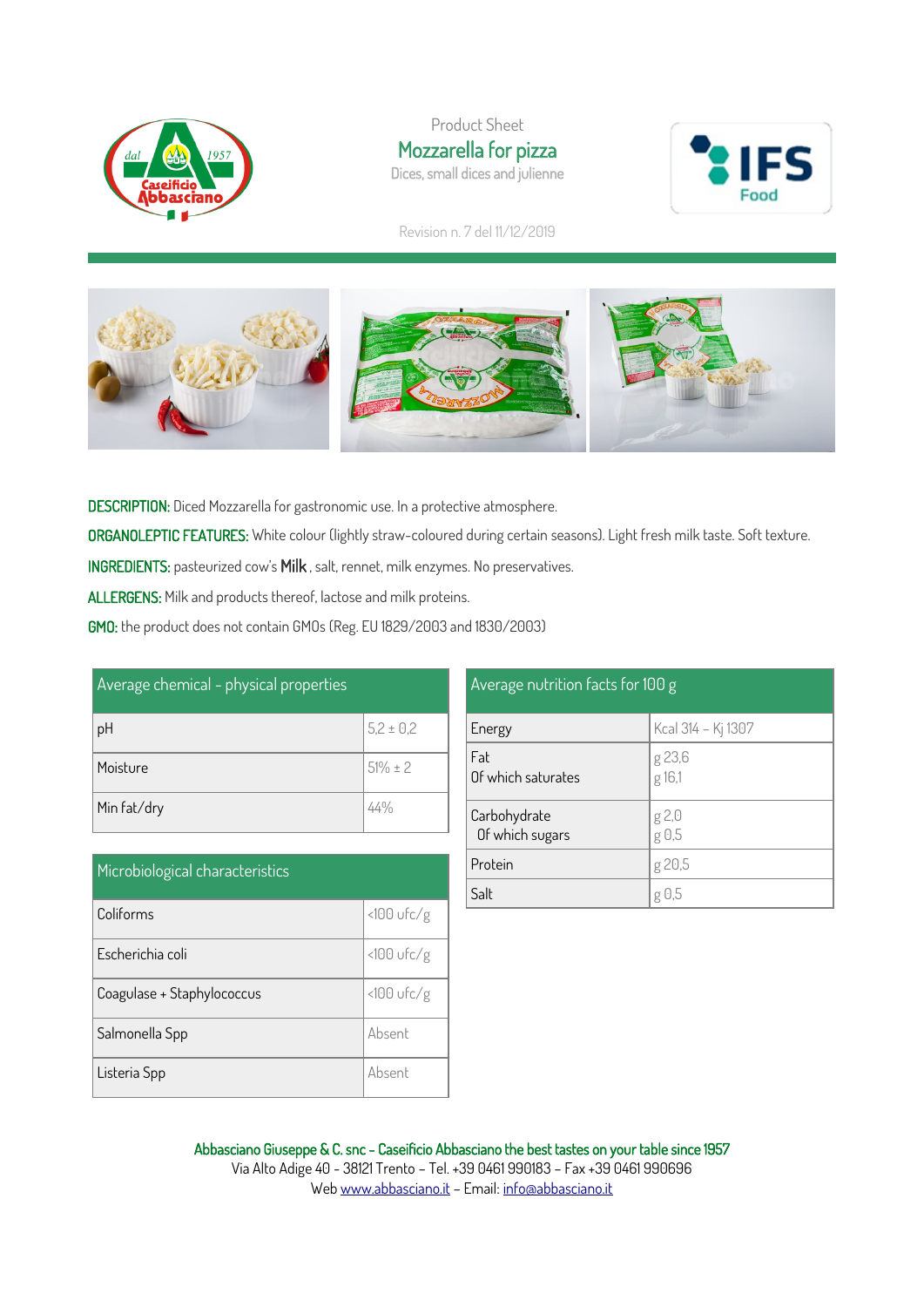

Product Sheet Mozzarella for pizza Dices, small dices and julienne



Revision n. 7 del 11/12/2019



DESCRIPTION: Diced Mozzarella for gastronomic use. In a protective atmosphere.

ORGANOLEPTIC FEATURES: White colour (lightly straw-coloured during certain seasons). Light fresh milk taste. Soft texture.

INGREDIENTS: pasteurized cow's Milk , salt, rennet, milk enzymes. No preservatives.

ALLERGENS: Milk and products thereof, lactose and milk proteins.

GMO: the product does not contain GMOs (Reg. EU 1829/2003 and 1830/2003)

| Average chemical - physical properties |               |  |
|----------------------------------------|---------------|--|
| pH                                     | $5,2 \pm 0,2$ |  |
| Moisture                               | $51\% \pm 2$  |  |
| Min fat/dry                            | 44%           |  |

| Microbiological characteristics |               |  |  |
|---------------------------------|---------------|--|--|
| Coliforms                       | $<$ 100 ufc/g |  |  |
| Escherichia coli                | $<100$ ufc/g  |  |  |
| Coagulase + Staphylococcus      | $<100$ ufc/g  |  |  |
| Salmonella Spp                  | Absent        |  |  |
| Listeria Spp                    | Absent        |  |  |

## Average nutrition facts for 100 g  $K_{c2}$  314  $K_{i}$  1307

| <b>Lnergy</b>                   | $ NCA $ 314 – KJ 1307 |
|---------------------------------|-----------------------|
| Fat<br>Of which saturates       | g 23,6<br>g 16,1      |
| Carbohydrate<br>Of which sugars | g 2,0<br>g 0,5        |
| Protein                         | g 20,5                |
| Salt                            | g 0,5                 |